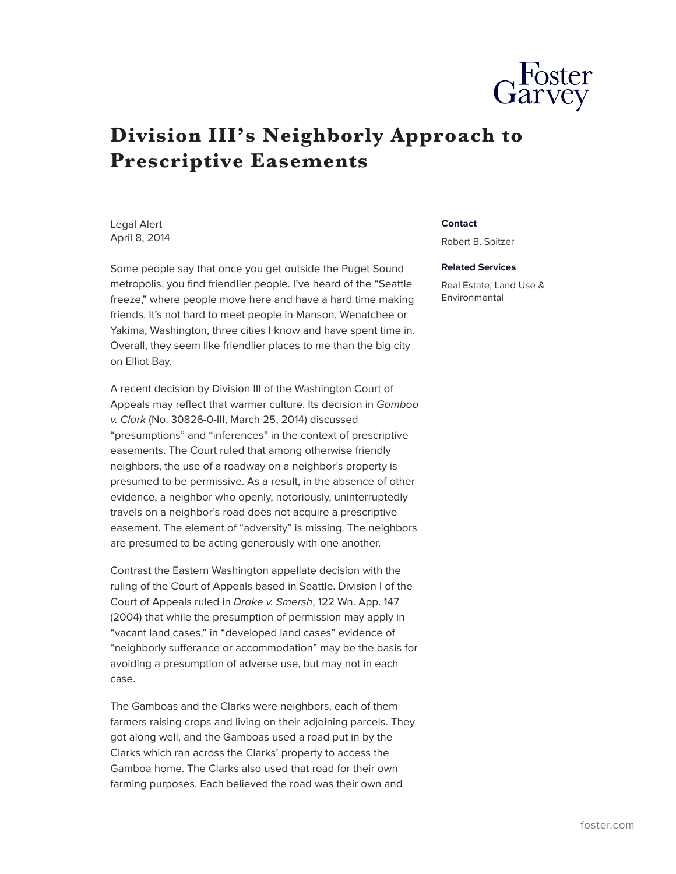

## **Division III's Neighborly Approach to Prescriptive Easements**

Legal Alert April 8, 2014

Some people say that once you get outside the Puget Sound metropolis, you find friendlier people. I've heard of the "Seattle freeze," where people move here and have a hard time making friends. It's not hard to meet people in Manson, Wenatchee or Yakima, Washington, three cities I know and have spent time in. Overall, they seem like friendlier places to me than the big city on Elliot Bay.

A recent decision by Division III of the Washington Court of Appeals may reflect that warmer culture. Its decision in *Gamboa v. Clark* (No. 30826-0-III, March 25, 2014) discussed "presumptions" and "inferences" in the context of prescriptive easements. The Court ruled that among otherwise friendly neighbors, the use of a roadway on a neighbor's property is presumed to be permissive. As a result, in the absence of other evidence, a neighbor who openly, notoriously, uninterruptedly travels on a neighbor's road does not acquire a prescriptive easement. The element of "adversity" is missing. The neighbors are presumed to be acting generously with one another.

Contrast the Eastern Washington appellate decision with the ruling of the Court of Appeals based in Seattle. Division I of the Court of Appeals ruled in *Drake v. Smersh*, 122 Wn. App. 147 (2004) that while the presumption of permission may apply in "vacant land cases," in "developed land cases" evidence of "neighborly sufferance or accommodation" may be the basis for avoiding a presumption of adverse use, but may not in each case.

The Gamboas and the Clarks were neighbors, each of them farmers raising crops and living on their adjoining parcels. They got along well, and the Gamboas used a road put in by the Clarks which ran across the Clarks' property to access the Gamboa home. The Clarks also used that road for their own farming purposes. Each believed the road was their own and

## **Contact**

Robert B. Spitzer

## **Related Services**

Real Estate, Land Use & Environmental